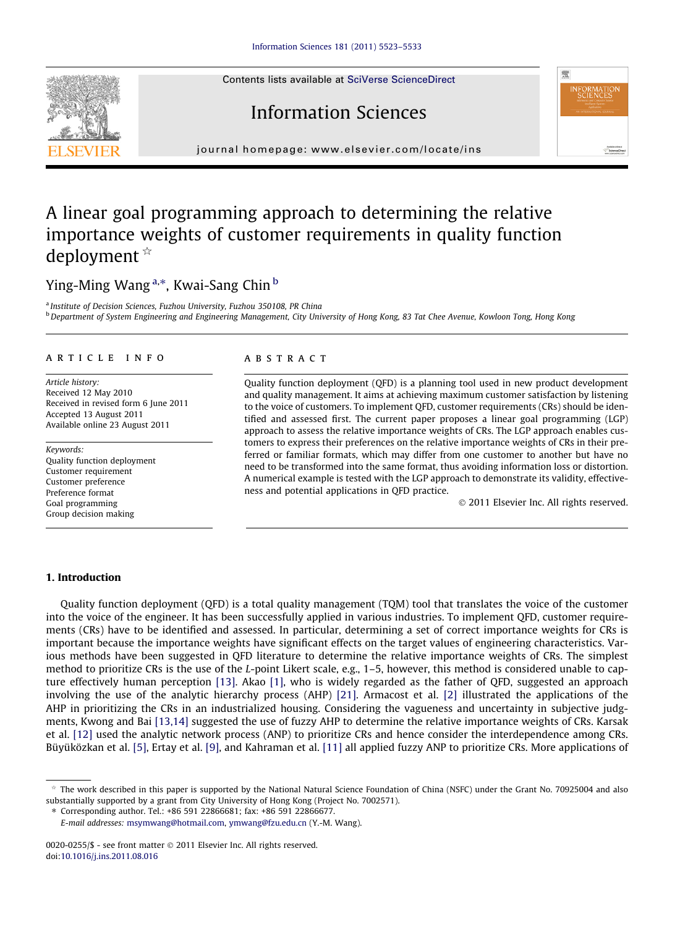Contents lists available at [SciVerse ScienceDirect](http://www.sciencedirect.com/science/journal/00200255)

## Information Sciences

journal homepage: [www.elsevier.com/locate/ins](http://www.elsevier.com/locate/ins)

### A linear goal programming approach to determining the relative importance weights of customer requirements in quality function deployment  $*$

### Ying-Ming Wang <sup>a,</sup>\*, Kwai-Sang Chin <sup>b</sup>

<sup>a</sup> Institute of Decision Sciences, Fuzhou University, Fuzhou 350108, PR China <sup>b</sup> Department of System Engineering and Engineering Management, City University of Hong Kong, 83 Tat Chee Avenue, Kowloon Tong, Hong Kong

#### article info

Article history: Received 12 May 2010 Received in revised form 6 June 2011 Accepted 13 August 2011 Available online 23 August 2011

Keywords: Quality function deployment Customer requirement Customer preference Preference format Goal programming Group decision making

#### ABSTRACT

Quality function deployment (QFD) is a planning tool used in new product development and quality management. It aims at achieving maximum customer satisfaction by listening to the voice of customers. To implement QFD, customer requirements (CRs) should be identified and assessed first. The current paper proposes a linear goal programming (LGP) approach to assess the relative importance weights of CRs. The LGP approach enables customers to express their preferences on the relative importance weights of CRs in their preferred or familiar formats, which may differ from one customer to another but have no need to be transformed into the same format, thus avoiding information loss or distortion. A numerical example is tested with the LGP approach to demonstrate its validity, effectiveness and potential applications in QFD practice.

- 2011 Elsevier Inc. All rights reserved.

#### 1. Introduction

Quality function deployment (QFD) is a total quality management (TQM) tool that translates the voice of the customer into the voice of the engineer. It has been successfully applied in various industries. To implement QFD, customer requirements (CRs) have to be identified and assessed. In particular, determining a set of correct importance weights for CRs is important because the importance weights have significant effects on the target values of engineering characteristics. Various methods have been suggested in QFD literature to determine the relative importance weights of CRs. The simplest method to prioritize CRs is the use of the L-point Likert scale, e.g., 1–5, however, this method is considered unable to capture effectively human perception [\[13\]](#page--1-0). Akao [\[1\],](#page--1-0) who is widely regarded as the father of QFD, suggested an approach involving the use of the analytic hierarchy process (AHP) [\[21\]](#page--1-0). Armacost et al. [\[2\]](#page--1-0) illustrated the applications of the AHP in prioritizing the CRs in an industrialized housing. Considering the vagueness and uncertainty in subjective judgments, Kwong and Bai [\[13,14\]](#page--1-0) suggested the use of fuzzy AHP to determine the relative importance weights of CRs. Karsak et al. [\[12\]](#page--1-0) used the analytic network process (ANP) to prioritize CRs and hence consider the interdependence among CRs. Büyüközkan et al. [\[5\]](#page--1-0), Ertay et al. [\[9\]](#page--1-0), and Kahraman et al. [\[11\]](#page--1-0) all applied fuzzy ANP to prioritize CRs. More applications of

⇑ Corresponding author. Tel.: +86 591 22866681; fax: +86 591 22866677.





 $*$  The work described in this paper is supported by the National Natural Science Foundation of China (NSFC) under the Grant No. 70925004 and also substantially supported by a grant from City University of Hong Kong (Project No. 7002571).

E-mail addresses: [msymwang@hotmail.com,](mailto:msymwang@hotmail.com) [ymwang@fzu.edu.cn](mailto:ymwang@fzu.edu.cn) (Y.-M. Wang).

<sup>0020-0255/\$ -</sup> see front matter © 2011 Elsevier Inc. All rights reserved. doi:[10.1016/j.ins.2011.08.016](http://dx.doi.org/10.1016/j.ins.2011.08.016)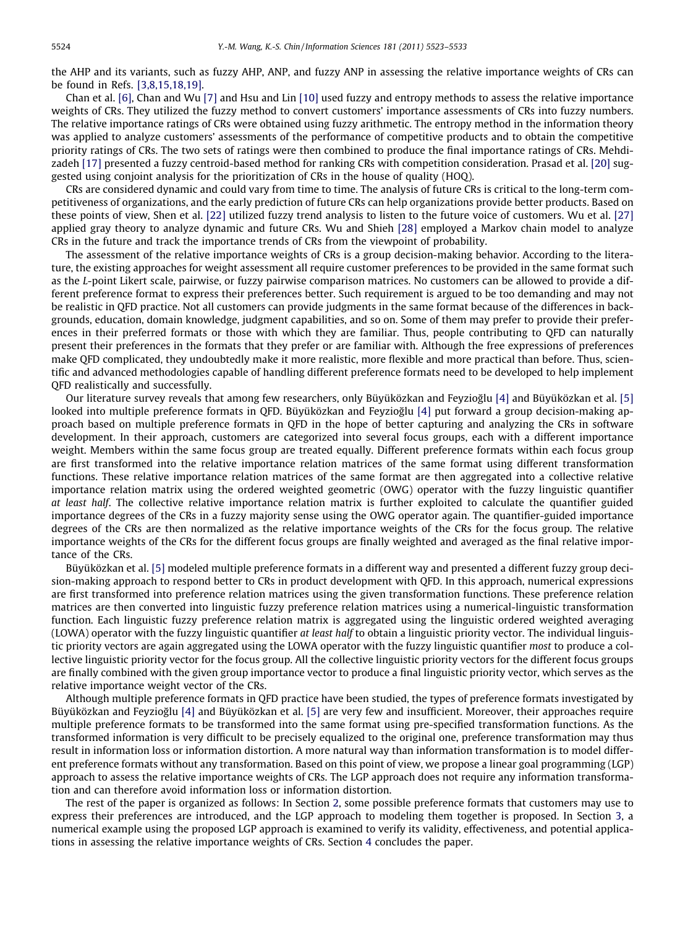the AHP and its variants, such as fuzzy AHP, ANP, and fuzzy ANP in assessing the relative importance weights of CRs can be found in Refs. [\[3,8,15,18,19\].](#page--1-0)

Chan et al. [\[6\]](#page--1-0), Chan and Wu [\[7\]](#page--1-0) and Hsu and Lin [\[10\]](#page--1-0) used fuzzy and entropy methods to assess the relative importance weights of CRs. They utilized the fuzzy method to convert customers' importance assessments of CRs into fuzzy numbers. The relative importance ratings of CRs were obtained using fuzzy arithmetic. The entropy method in the information theory was applied to analyze customers' assessments of the performance of competitive products and to obtain the competitive priority ratings of CRs. The two sets of ratings were then combined to produce the final importance ratings of CRs. Mehdizadeh [\[17\]](#page--1-0) presented a fuzzy centroid-based method for ranking CRs with competition consideration. Prasad et al. [\[20\]](#page--1-0) suggested using conjoint analysis for the prioritization of CRs in the house of quality (HOQ).

CRs are considered dynamic and could vary from time to time. The analysis of future CRs is critical to the long-term competitiveness of organizations, and the early prediction of future CRs can help organizations provide better products. Based on these points of view, Shen et al. [\[22\]](#page--1-0) utilized fuzzy trend analysis to listen to the future voice of customers. Wu et al. [\[27\]](#page--1-0) applied gray theory to analyze dynamic and future CRs. Wu and Shieh [\[28\]](#page--1-0) employed a Markov chain model to analyze CRs in the future and track the importance trends of CRs from the viewpoint of probability.

The assessment of the relative importance weights of CRs is a group decision-making behavior. According to the literature, the existing approaches for weight assessment all require customer preferences to be provided in the same format such as the L-point Likert scale, pairwise, or fuzzy pairwise comparison matrices. No customers can be allowed to provide a different preference format to express their preferences better. Such requirement is argued to be too demanding and may not be realistic in QFD practice. Not all customers can provide judgments in the same format because of the differences in backgrounds, education, domain knowledge, judgment capabilities, and so on. Some of them may prefer to provide their preferences in their preferred formats or those with which they are familiar. Thus, people contributing to QFD can naturally present their preferences in the formats that they prefer or are familiar with. Although the free expressions of preferences make QFD complicated, they undoubtedly make it more realistic, more flexible and more practical than before. Thus, scientific and advanced methodologies capable of handling different preference formats need to be developed to help implement QFD realistically and successfully.

Our literature survey reveals that among few researchers, only Büyüközkan and Feyziog˘lu [\[4\]](#page--1-0) and Büyüközkan et al. [\[5\]](#page--1-0) looked into multiple preference formats in QFD. Büyüközkan and Feyzioğlu [\[4\]](#page--1-0) put forward a group decision-making approach based on multiple preference formats in QFD in the hope of better capturing and analyzing the CRs in software development. In their approach, customers are categorized into several focus groups, each with a different importance weight. Members within the same focus group are treated equally. Different preference formats within each focus group are first transformed into the relative importance relation matrices of the same format using different transformation functions. These relative importance relation matrices of the same format are then aggregated into a collective relative importance relation matrix using the ordered weighted geometric (OWG) operator with the fuzzy linguistic quantifier at least half. The collective relative importance relation matrix is further exploited to calculate the quantifier guided importance degrees of the CRs in a fuzzy majority sense using the OWG operator again. The quantifier-guided importance degrees of the CRs are then normalized as the relative importance weights of the CRs for the focus group. The relative importance weights of the CRs for the different focus groups are finally weighted and averaged as the final relative importance of the CRs.

Büyüközkan et al. [\[5\]](#page--1-0) modeled multiple preference formats in a different way and presented a different fuzzy group decision-making approach to respond better to CRs in product development with QFD. In this approach, numerical expressions are first transformed into preference relation matrices using the given transformation functions. These preference relation matrices are then converted into linguistic fuzzy preference relation matrices using a numerical-linguistic transformation function. Each linguistic fuzzy preference relation matrix is aggregated using the linguistic ordered weighted averaging (LOWA) operator with the fuzzy linguistic quantifier at least half to obtain a linguistic priority vector. The individual linguistic priority vectors are again aggregated using the LOWA operator with the fuzzy linguistic quantifier most to produce a collective linguistic priority vector for the focus group. All the collective linguistic priority vectors for the different focus groups are finally combined with the given group importance vector to produce a final linguistic priority vector, which serves as the relative importance weight vector of the CRs.

Although multiple preference formats in QFD practice have been studied, the types of preference formats investigated by Büyüközkan and Feyzioğlu [\[4\]](#page--1-0) and Büyüközkan et al. [\[5\]](#page--1-0) are very few and insufficient. Moreover, their approaches require multiple preference formats to be transformed into the same format using pre-specified transformation functions. As the transformed information is very difficult to be precisely equalized to the original one, preference transformation may thus result in information loss or information distortion. A more natural way than information transformation is to model different preference formats without any transformation. Based on this point of view, we propose a linear goal programming (LGP) approach to assess the relative importance weights of CRs. The LGP approach does not require any information transformation and can therefore avoid information loss or information distortion.

The rest of the paper is organized as follows: In Section 2, some possible preference formats that customers may use to express their preferences are introduced, and the LGP approach to modeling them together is proposed. In Section 3, a numerical example using the proposed LGP approach is examined to verify its validity, effectiveness, and potential applications in assessing the relative importance weights of CRs. Section 4 concludes the paper.